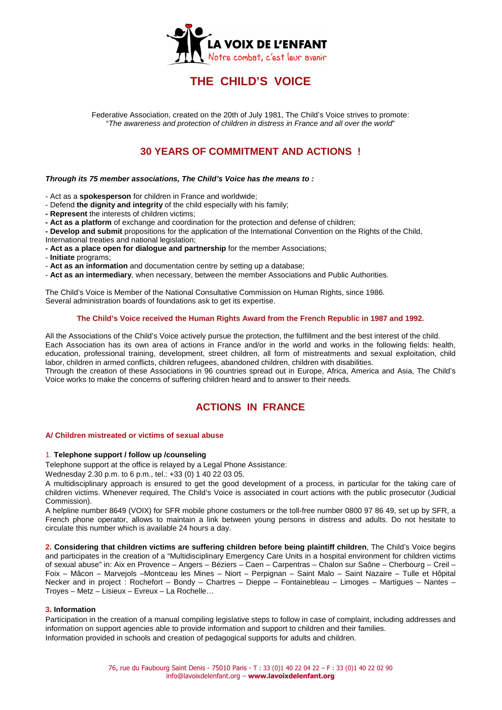

# **THE CHILD'S VOICE**

Federative Association, created on the 20th of July 1981, The Child's Voice strives to promote: "The awareness and protection of children in distress in France and all over the world"

# **30 YEARS OF COMMITMENT AND ACTIONS !**

### **Through its 75 member associations, The Child's Voice has the means to :**

- Act as a **spokesperson** for children in France and worldwide;

- Defend **the dignity and integrity** of the child especially with his family;
- **Represent** the interests of children victims;
- **Act as a platform** of exchange and coordination for the protection and defense of children;
- **Develop and submit** propositions for the application of the International Convention on the Rights of the Child,
- International treaties and national legislation;
- **Act as a place open for dialogue and partnership** for the member Associations;
- - **Initiate** programs;
- **Act as an information** and documentation centre by setting up a database;
- **Act as an intermediary**, when necessary, between the member Associations and Public Authorities.

The Child's Voice is Member of the National Consultative Commission on Human Rights, since 1986. Several administration boards of foundations ask to get its expertise.

### **The Child's Voice received the Human Rights Award from the French Republic in 1987 and 1992.**

All the Associations of the Child's Voice actively pursue the protection, the fulfillment and the best interest of the child. Each Association has its own area of actions in France and/or in the world and works in the following fields: health, education, professional training, development, street children, all form of mistreatments and sexual exploitation, child labor, children in armed conflicts, children refugees, abandoned children, children with disabilities. Through the creation of these Associations in 96 countries spread out in Europe, Africa, America and Asia, The Child's

Voice works to make the concerns of suffering children heard and to answer to their needs.

# **ACTIONS IN FRANCE**

### **A/ Children mistreated or victims of sexual abuse**

### 1. **Telephone support / follow up /counseling**

Telephone support at the office is relayed by a Legal Phone Assistance:

Wednesday 2.30 p.m. to 6 p.m., tel.: +33 (0) 1 40 22 03 05.

A multidisciplinary approach is ensured to get the good development of a process, in particular for the taking care of children victims. Whenever required, The Child's Voice is associated in court actions with the public prosecutor (Judicial Commission).

A helpline number 8649 (VOIX) for SFR mobile phone costumers or the toll-free number 0800 97 86 49, set up by SFR, a French phone operator, allows to maintain a link between young persons in distress and adults. Do not hesitate to circulate this number which is available 24 hours a day.

**2. Considering that children victims are suffering children before being plaintiff children**, The Child's Voice begins and participates in the creation of a "Multidisciplinary Emergency Care Units in a hospital environment for children victims of sexual abuse" in: Aix en Provence – Angers – Béziers – Caen – Carpentras – Chalon sur Saône – Cherbourg – Creil – Foix – Mâcon – Marvejols –Montceau les Mines – Niort – Perpignan – Saint Malo – Saint Nazaire – Tulle et Hôpital Necker and in project : Rochefort – Bondy – Chartres – Dieppe – Fontainebleau – Limoges – Martigues – Nantes – Troyes – Metz – Lisieux – Evreux – La Rochelle…

# **3. Information**

Participation in the creation of a manual compiling legislative steps to follow in case of complaint, including addresses and information on support agencies able to provide information and support to children and their families. Information provided in schools and creation of pedagogical supports for adults and children.